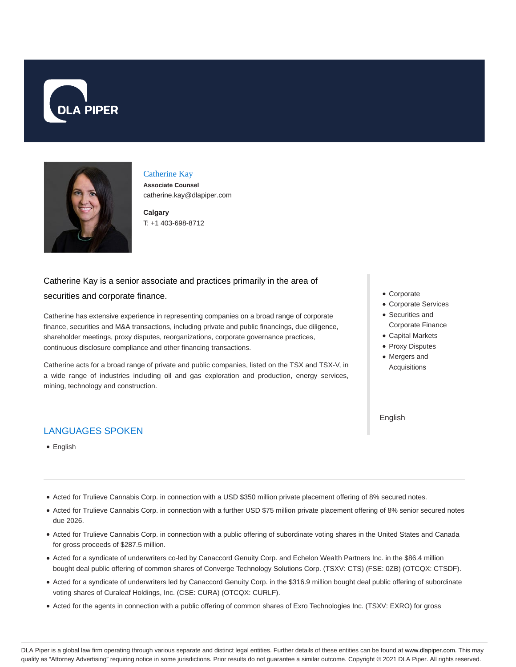



# Catherine Kay

**Associate Counsel** catherine.kay@dlapiper.com

**Calgary** T: +1 403-698-8712

### Catherine Kay is a senior associate and practices primarily in the area of

### securities and corporate finance.

Catherine has extensive experience in representing companies on a broad range of corporate finance, securities and M&A transactions, including private and public financings, due diligence, shareholder meetings, proxy disputes, reorganizations, corporate governance practices, continuous disclosure compliance and other financing transactions.

Catherine acts for a broad range of private and public companies, listed on the TSX and TSX-V, in a wide range of industries including oil and gas exploration and production, energy services, mining, technology and construction.

## LANGUAGES SPOKEN

- English
- Acted for Trulieve Cannabis Corp. in connection with a USD \$350 million private placement offering of 8% secured notes.
- Acted for Trulieve Cannabis Corp. in connection with a further USD \$75 million private placement offering of 8% senior secured notes due 2026.
- Acted for Trulieve Cannabis Corp. in connection with a public offering of subordinate voting shares in the United States and Canada for gross proceeds of \$287.5 million.
- Acted for a syndicate of underwriters co-led by Canaccord Genuity Corp. and Echelon Wealth Partners Inc. in the \$86.4 million bought deal public offering of common shares of Converge Technology Solutions Corp. (TSXV: CTS) (FSE: 0ZB) (OTCQX: CTSDF).
- Acted for a syndicate of underwriters led by Canaccord Genuity Corp. in the \$316.9 million bought deal public offering of subordinate voting shares of Curaleaf Holdings, Inc. (CSE: CURA) (OTCQX: CURLF).
- Acted for the agents in connection with a public offering of common shares of Exro Technologies Inc. (TSXV: EXRO) for gross
- Corporate
- Corporate Services
- Securities and Corporate Finance
- Capital Markets
- Proxy Disputes
- Mergers and Acquisitions

English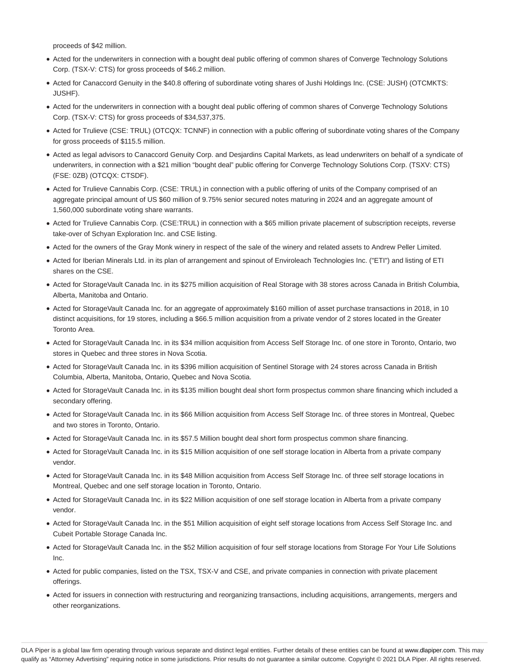proceeds of \$42 million.

- Acted for the underwriters in connection with a bought deal public offering of common shares of Converge Technology Solutions Corp. (TSX-V: CTS) for gross proceeds of \$46.2 million.
- Acted for Canaccord Genuity in the \$40.8 offering of subordinate voting shares of Jushi Holdings Inc. (CSE: JUSH) (OTCMKTS: JUSHF).
- Acted for the underwriters in connection with a bought deal public offering of common shares of Converge Technology Solutions Corp. (TSX-V: CTS) for gross proceeds of \$34,537,375.
- Acted for Trulieve (CSE: TRUL) (OTCQX: TCNNF) in connection with a public offering of subordinate voting shares of the Company for gross proceeds of \$115.5 million.
- Acted as legal advisors to Canaccord Genuity Corp. and Desjardins Capital Markets, as lead underwriters on behalf of a syndicate of underwriters, in connection with a \$21 million "bought deal" public offering for Converge Technology Solutions Corp. (TSXV: CTS) (FSE: 0ZB) (OTCQX: CTSDF).
- Acted for Trulieve Cannabis Corp. (CSE: TRUL) in connection with a public offering of units of the Company comprised of an aggregate principal amount of US \$60 million of 9.75% senior secured notes maturing in 2024 and an aggregate amount of 1,560,000 subordinate voting share warrants.
- Acted for Trulieve Cannabis Corp. (CSE:TRUL) in connection with a \$65 million private placement of subscription receipts, reverse take-over of Schyan Exploration Inc. and CSE listing.
- Acted for the owners of the Gray Monk winery in respect of the sale of the winery and related assets to Andrew Peller Limited.
- Acted for Iberian Minerals Ltd. in its plan of arrangement and spinout of Enviroleach Technologies Inc. ("ETI") and listing of ETI shares on the CSE.
- Acted for StorageVault Canada Inc. in its \$275 million acquisition of Real Storage with 38 stores across Canada in British Columbia, Alberta, Manitoba and Ontario.
- Acted for StorageVault Canada Inc. for an aggregate of approximately \$160 million of asset purchase transactions in 2018, in 10 distinct acquisitions, for 19 stores, including a \$66.5 million acquisition from a private vendor of 2 stores located in the Greater Toronto Area.
- Acted for StorageVault Canada Inc. in its \$34 million acquisition from Access Self Storage Inc. of one store in Toronto, Ontario, two stores in Quebec and three stores in Nova Scotia.
- Acted for StorageVault Canada Inc. in its \$396 million acquisition of Sentinel Storage with 24 stores across Canada in British Columbia, Alberta, Manitoba, Ontario, Quebec and Nova Scotia.
- Acted for StorageVault Canada Inc. in its \$135 million bought deal short form prospectus common share financing which included a secondary offering.
- Acted for StorageVault Canada Inc. in its \$66 Million acquisition from Access Self Storage Inc. of three stores in Montreal, Quebec and two stores in Toronto, Ontario.
- Acted for StorageVault Canada Inc. in its \$57.5 Million bought deal short form prospectus common share financing.
- Acted for StorageVault Canada Inc. in its \$15 Million acquisition of one self storage location in Alberta from a private company vendor.
- Acted for StorageVault Canada Inc. in its \$48 Million acquisition from Access Self Storage Inc. of three self storage locations in Montreal, Quebec and one self storage location in Toronto, Ontario.
- Acted for StorageVault Canada Inc. in its \$22 Million acquisition of one self storage location in Alberta from a private company vendor.
- Acted for StorageVault Canada Inc. in the \$51 Million acquisition of eight self storage locations from Access Self Storage Inc. and Cubeit Portable Storage Canada Inc.
- Acted for StorageVault Canada Inc. in the \$52 Million acquisition of four self storage locations from Storage For Your Life Solutions Inc.
- Acted for public companies, listed on the TSX, TSX-V and CSE, and private companies in connection with private placement offerings.
- Acted for issuers in connection with restructuring and reorganizing transactions, including acquisitions, arrangements, mergers and other reorganizations.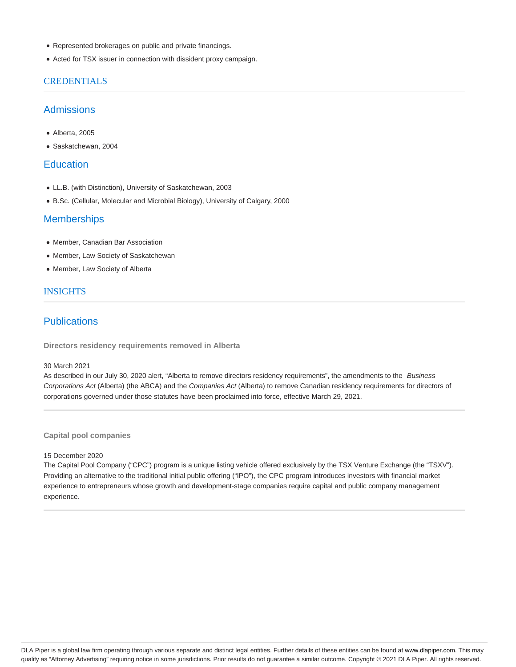- Represented brokerages on public and private financings.
- Acted for TSX issuer in connection with dissident proxy campaign.

### **CREDENTIALS**

### Admissions

- Alberta, 2005
- Saskatchewan, 2004

### **Education**

- LL.B. (with Distinction), University of Saskatchewan, 2003
- B.Sc. (Cellular, Molecular and Microbial Biology), University of Calgary, 2000

### **Memberships**

- Member, Canadian Bar Association
- Member, Law Society of Saskatchewan
- Member, Law Society of Alberta

### INSIGHTS

### **Publications**

**Directors residency requirements removed in Alberta**

#### 30 March 2021

As described in our July 30, 2020 alert, "Alberta to remove directors residency requirements", the amendments to the Business Corporations Act (Alberta) (the ABCA) and the Companies Act (Alberta) to remove Canadian residency requirements for directors of corporations governed under those statutes have been proclaimed into force, effective March 29, 2021.

**Capital pool companies**

#### 15 December 2020

The Capital Pool Company ("CPC") program is a unique listing vehicle offered exclusively by the TSX Venture Exchange (the "TSXV"). Providing an alternative to the traditional initial public offering ("IPO"), the CPC program introduces investors with financial market experience to entrepreneurs whose growth and development-stage companies require capital and public company management experience.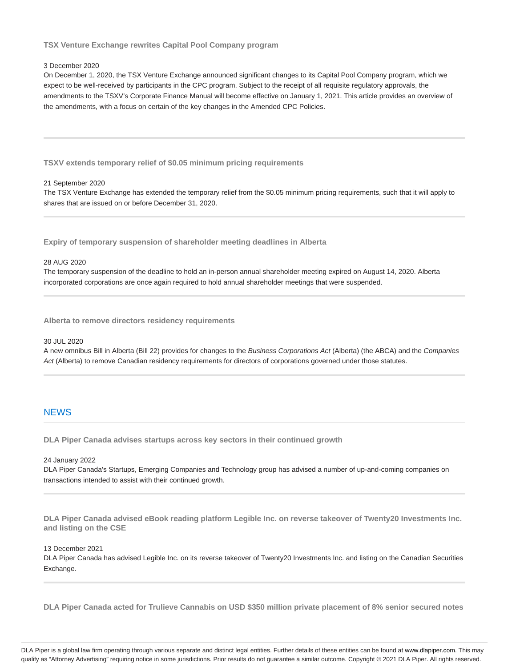### **TSX Venture Exchange rewrites Capital Pool Company program**

#### 3 December 2020

On December 1, 2020, the TSX Venture Exchange announced significant changes to its Capital Pool Company program, which we expect to be well-received by participants in the CPC program. Subject to the receipt of all requisite regulatory approvals, the amendments to the TSXV's Corporate Finance Manual will become effective on January 1, 2021. This article provides an overview of the amendments, with a focus on certain of the key changes in the Amended CPC Policies.

**TSXV extends temporary relief of \$0.05 minimum pricing requirements**

#### 21 September 2020

The TSX Venture Exchange has extended the temporary relief from the \$0.05 minimum pricing requirements, such that it will apply to shares that are issued on or before December 31, 2020.

**Expiry of temporary suspension of shareholder meeting deadlines in Alberta**

#### 28 AUG 2020

The temporary suspension of the deadline to hold an in-person annual shareholder meeting expired on August 14, 2020. Alberta incorporated corporations are once again required to hold annual shareholder meetings that were suspended.

**Alberta to remove directors residency requirements**

#### 30 JUL 2020

A new omnibus Bill in Alberta (Bill 22) provides for changes to the Business Corporations Act (Alberta) (the ABCA) and the Companies Act (Alberta) to remove Canadian residency requirements for directors of corporations governed under those statutes.

### **NEWS**

**DLA Piper Canada advises startups across key sectors in their continued growth**

#### 24 January 2022

DLA Piper Canada's Startups, Emerging Companies and Technology group has advised a number of up-and-coming companies on transactions intended to assist with their continued growth.

**DLA Piper Canada advised eBook reading platform Legible Inc. on reverse takeover of Twenty20 Investments Inc. and listing on the CSE**

#### 13 December 2021

DLA Piper Canada has advised Legible Inc. on its reverse takeover of Twenty20 Investments Inc. and listing on the Canadian Securities Exchange.

**DLA Piper Canada acted for Trulieve Cannabis on USD \$350 million private placement of 8% senior secured notes**

DLA Piper is a global law firm operating through various separate and distinct legal entities. Further details of these entities can be found at www.dlapiper.com. This may qualify as "Attorney Advertising" requiring notice in some jurisdictions. Prior results do not guarantee a similar outcome. Copyright @ 2021 DLA Piper. All rights reserved.